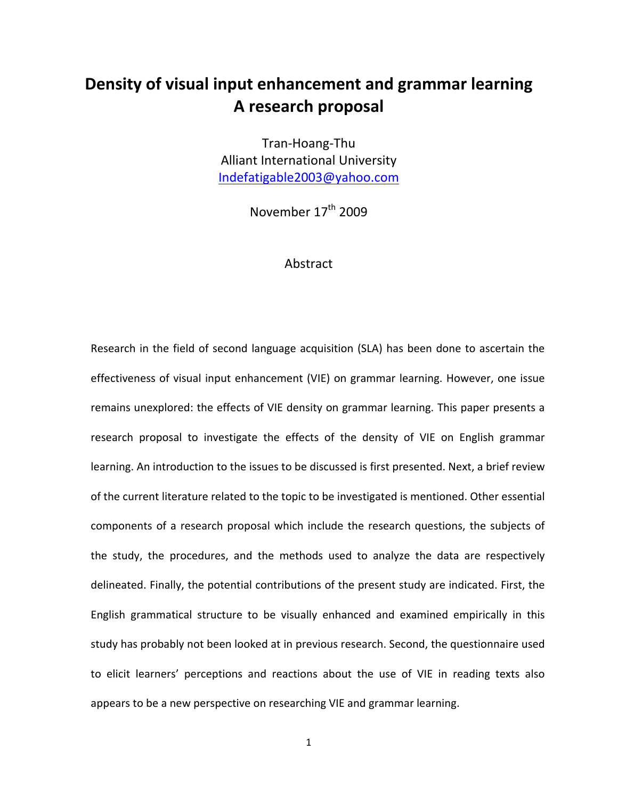# **Density of visual input enhancement and grammar learning A research proposal**

Tran‐Hoang‐Thu Alliant International University Indefatigable2003@yahoo.com

November 17<sup>th</sup> 2009

# Abstract

Research in the field of second language acquisition (SLA) has been done to ascertain the effectiveness of visual input enhancement (VIE) on grammar learning. However, one issue remains unexplored: the effects of VIE density on grammar learning. This paper presents a research proposal to investigate the effects of the density of VIE on English grammar learning. An introduction to the issues to be discussed is first presented. Next, a brief review of the current literature related to the topic to be investigated is mentioned. Other essential components of a research proposal which include the research questions, the subjects of the study, the procedures, and the methods used to analyze the data are respectively delineated. Finally, the potential contributions of the present study are indicated. First, the English grammatical structure to be visually enhanced and examined empirically in this study has probably not been looked at in previous research. Second, the questionnaire used to elicit learners' perceptions and reactions about the use of VIE in reading texts also appears to be a new perspective on researching VIE and grammar learning.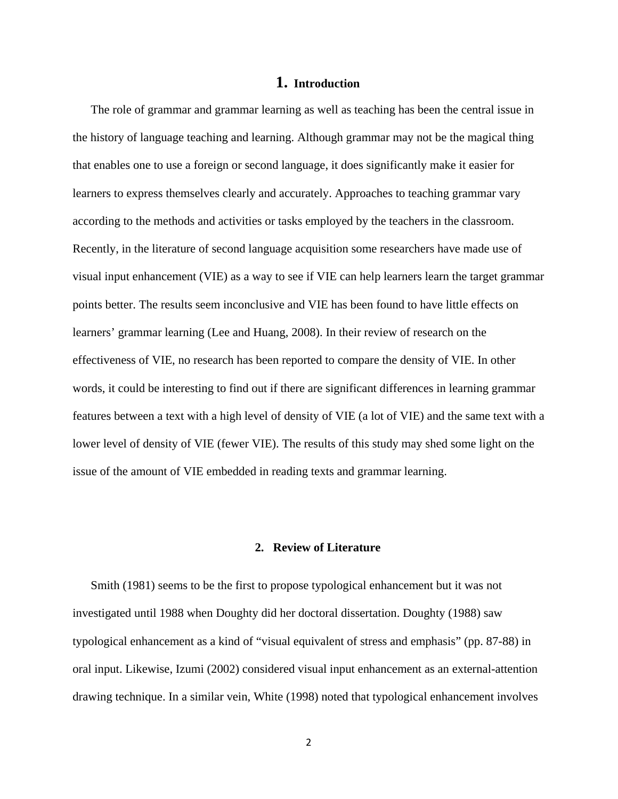# **1. Introduction**

The role of grammar and grammar learning as well as teaching has been the central issue in the history of language teaching and learning. Although grammar may not be the magical thing that enables one to use a foreign or second language, it does significantly make it easier for learners to express themselves clearly and accurately. Approaches to teaching grammar vary according to the methods and activities or tasks employed by the teachers in the classroom. Recently, in the literature of second language acquisition some researchers have made use of visual input enhancement (VIE) as a way to see if VIE can help learners learn the target grammar points better. The results seem inconclusive and VIE has been found to have little effects on learners' grammar learning (Lee and Huang, 2008). In their review of research on the effectiveness of VIE, no research has been reported to compare the density of VIE. In other words, it could be interesting to find out if there are significant differences in learning grammar features between a text with a high level of density of VIE (a lot of VIE) and the same text with a lower level of density of VIE (fewer VIE). The results of this study may shed some light on the issue of the amount of VIE embedded in reading texts and grammar learning.

#### **2. Review of Literature**

Smith (1981) seems to be the first to propose typological enhancement but it was not investigated until 1988 when Doughty did her doctoral dissertation. Doughty (1988) saw typological enhancement as a kind of "visual equivalent of stress and emphasis" (pp. 87-88) in oral input. Likewise, Izumi (2002) considered visual input enhancement as an external-attention drawing technique. In a similar vein, White (1998) noted that typological enhancement involves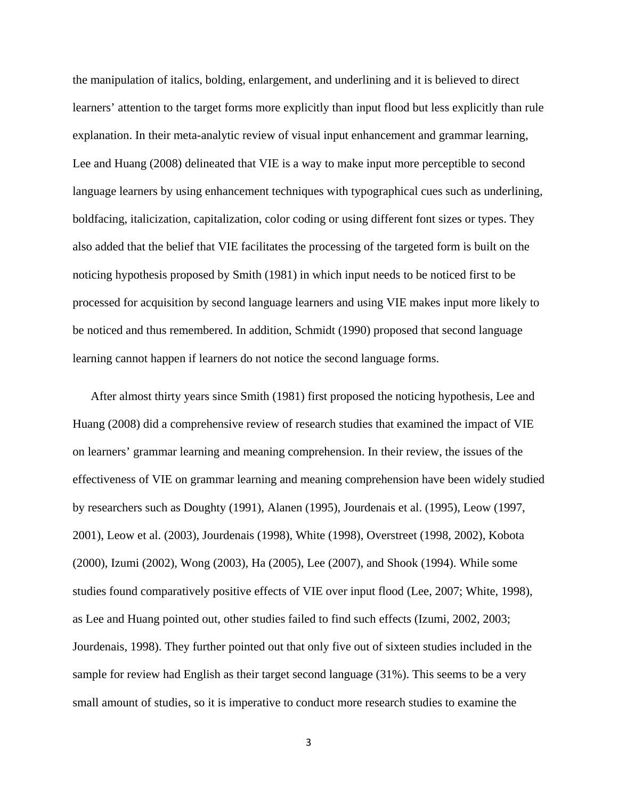the manipulation of italics, bolding, enlargement, and underlining and it is believed to direct learners' attention to the target forms more explicitly than input flood but less explicitly than rule explanation. In their meta-analytic review of visual input enhancement and grammar learning, Lee and Huang (2008) delineated that VIE is a way to make input more perceptible to second language learners by using enhancement techniques with typographical cues such as underlining, boldfacing, italicization, capitalization, color coding or using different font sizes or types. They also added that the belief that VIE facilitates the processing of the targeted form is built on the noticing hypothesis proposed by Smith (1981) in which input needs to be noticed first to be processed for acquisition by second language learners and using VIE makes input more likely to be noticed and thus remembered. In addition, Schmidt (1990) proposed that second language learning cannot happen if learners do not notice the second language forms.

After almost thirty years since Smith (1981) first proposed the noticing hypothesis, Lee and Huang (2008) did a comprehensive review of research studies that examined the impact of VIE on learners' grammar learning and meaning comprehension. In their review, the issues of the effectiveness of VIE on grammar learning and meaning comprehension have been widely studied by researchers such as Doughty (1991), Alanen (1995), Jourdenais et al. (1995), Leow (1997, 2001), Leow et al. (2003), Jourdenais (1998), White (1998), Overstreet (1998, 2002), Kobota (2000), Izumi (2002), Wong (2003), Ha (2005), Lee (2007), and Shook (1994). While some studies found comparatively positive effects of VIE over input flood (Lee, 2007; White, 1998), as Lee and Huang pointed out, other studies failed to find such effects (Izumi, 2002, 2003; Jourdenais, 1998). They further pointed out that only five out of sixteen studies included in the sample for review had English as their target second language (31%). This seems to be a very small amount of studies, so it is imperative to conduct more research studies to examine the

3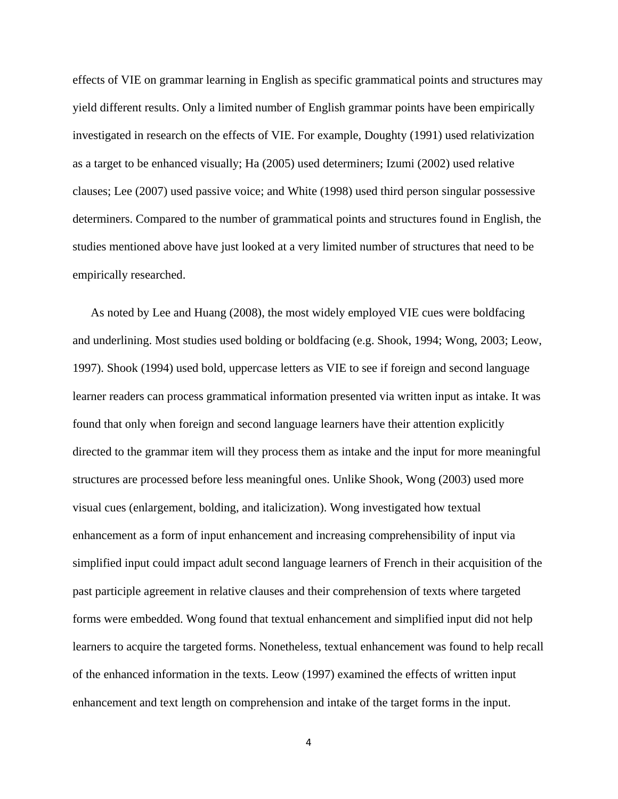effects of VIE on grammar learning in English as specific grammatical points and structures may yield different results. Only a limited number of English grammar points have been empirically investigated in research on the effects of VIE. For example, Doughty (1991) used relativization as a target to be enhanced visually; Ha (2005) used determiners; Izumi (2002) used relative clauses; Lee (2007) used passive voice; and White (1998) used third person singular possessive determiners. Compared to the number of grammatical points and structures found in English, the studies mentioned above have just looked at a very limited number of structures that need to be empirically researched.

As noted by Lee and Huang (2008), the most widely employed VIE cues were boldfacing and underlining. Most studies used bolding or boldfacing (e.g. Shook, 1994; Wong, 2003; Leow, 1997). Shook (1994) used bold, uppercase letters as VIE to see if foreign and second language learner readers can process grammatical information presented via written input as intake. It was found that only when foreign and second language learners have their attention explicitly directed to the grammar item will they process them as intake and the input for more meaningful structures are processed before less meaningful ones. Unlike Shook, Wong (2003) used more visual cues (enlargement, bolding, and italicization). Wong investigated how textual enhancement as a form of input enhancement and increasing comprehensibility of input via simplified input could impact adult second language learners of French in their acquisition of the past participle agreement in relative clauses and their comprehension of texts where targeted forms were embedded. Wong found that textual enhancement and simplified input did not help learners to acquire the targeted forms. Nonetheless, textual enhancement was found to help recall of the enhanced information in the texts. Leow (1997) examined the effects of written input enhancement and text length on comprehension and intake of the target forms in the input.

4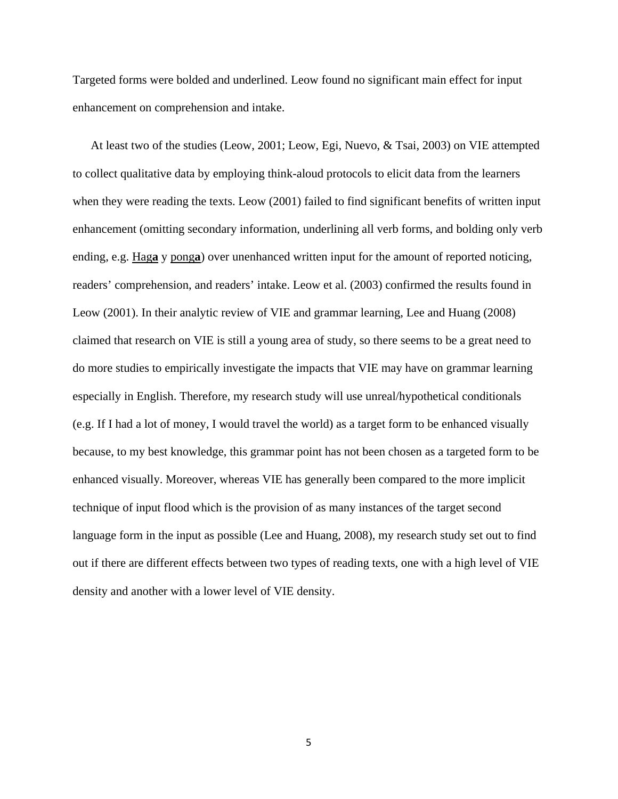Targeted forms were bolded and underlined. Leow found no significant main effect for input enhancement on comprehension and intake.

At least two of the studies (Leow, 2001; Leow, Egi, Nuevo, & Tsai, 2003) on VIE attempted to collect qualitative data by employing think-aloud protocols to elicit data from the learners when they were reading the texts. Leow (2001) failed to find significant benefits of written input enhancement (omitting secondary information, underlining all verb forms, and bolding only verb ending, e.g. Hag**a** y pong**a**) over unenhanced written input for the amount of reported noticing, readers' comprehension, and readers' intake. Leow et al. (2003) confirmed the results found in Leow (2001). In their analytic review of VIE and grammar learning, Lee and Huang (2008) claimed that research on VIE is still a young area of study, so there seems to be a great need to do more studies to empirically investigate the impacts that VIE may have on grammar learning especially in English. Therefore, my research study will use unreal/hypothetical conditionals (e.g. If I had a lot of money, I would travel the world) as a target form to be enhanced visually because, to my best knowledge, this grammar point has not been chosen as a targeted form to be enhanced visually. Moreover, whereas VIE has generally been compared to the more implicit technique of input flood which is the provision of as many instances of the target second language form in the input as possible (Lee and Huang, 2008), my research study set out to find out if there are different effects between two types of reading texts, one with a high level of VIE density and another with a lower level of VIE density.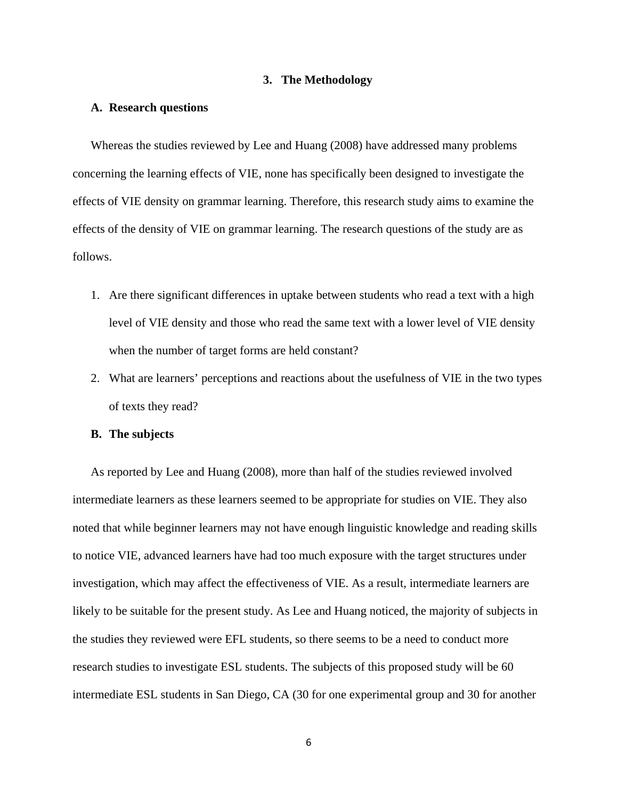## **3. The Methodology**

## **A. Research questions**

Whereas the studies reviewed by Lee and Huang (2008) have addressed many problems concerning the learning effects of VIE, none has specifically been designed to investigate the effects of VIE density on grammar learning. Therefore, this research study aims to examine the effects of the density of VIE on grammar learning. The research questions of the study are as follows.

- 1. Are there significant differences in uptake between students who read a text with a high level of VIE density and those who read the same text with a lower level of VIE density when the number of target forms are held constant?
- 2. What are learners' perceptions and reactions about the usefulness of VIE in the two types of texts they read?

## **B. The subjects**

As reported by Lee and Huang (2008), more than half of the studies reviewed involved intermediate learners as these learners seemed to be appropriate for studies on VIE. They also noted that while beginner learners may not have enough linguistic knowledge and reading skills to notice VIE, advanced learners have had too much exposure with the target structures under investigation, which may affect the effectiveness of VIE. As a result, intermediate learners are likely to be suitable for the present study. As Lee and Huang noticed, the majority of subjects in the studies they reviewed were EFL students, so there seems to be a need to conduct more research studies to investigate ESL students. The subjects of this proposed study will be 60 intermediate ESL students in San Diego, CA (30 for one experimental group and 30 for another

6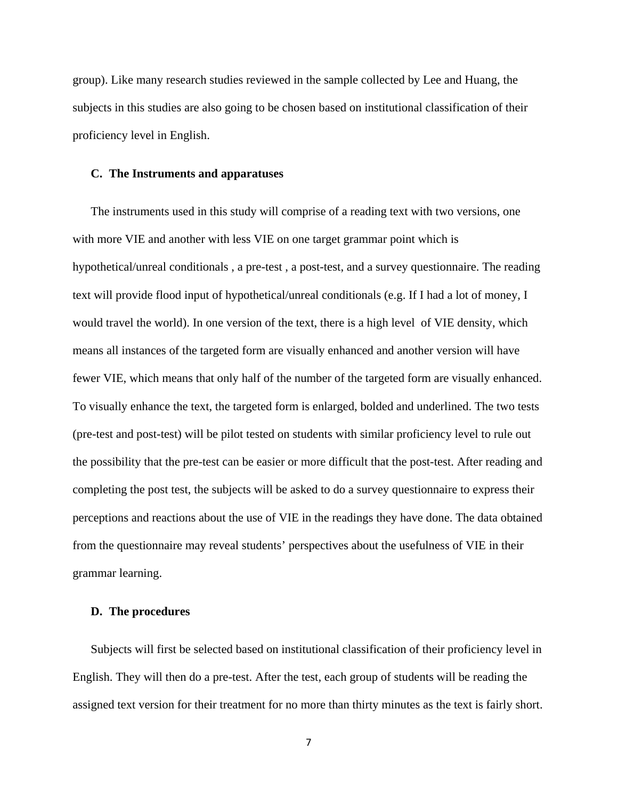group). Like many research studies reviewed in the sample collected by Lee and Huang, the subjects in this studies are also going to be chosen based on institutional classification of their proficiency level in English.

#### **C. The Instruments and apparatuses**

The instruments used in this study will comprise of a reading text with two versions, one with more VIE and another with less VIE on one target grammar point which is hypothetical/unreal conditionals , a pre-test , a post-test, and a survey questionnaire. The reading text will provide flood input of hypothetical/unreal conditionals (e.g. If I had a lot of money, I would travel the world). In one version of the text, there is a high level of VIE density, which means all instances of the targeted form are visually enhanced and another version will have fewer VIE, which means that only half of the number of the targeted form are visually enhanced. To visually enhance the text, the targeted form is enlarged, bolded and underlined. The two tests (pre-test and post-test) will be pilot tested on students with similar proficiency level to rule out the possibility that the pre-test can be easier or more difficult that the post-test. After reading and completing the post test, the subjects will be asked to do a survey questionnaire to express their perceptions and reactions about the use of VIE in the readings they have done. The data obtained from the questionnaire may reveal students' perspectives about the usefulness of VIE in their grammar learning.

#### **D. The procedures**

Subjects will first be selected based on institutional classification of their proficiency level in English. They will then do a pre-test. After the test, each group of students will be reading the assigned text version for their treatment for no more than thirty minutes as the text is fairly short.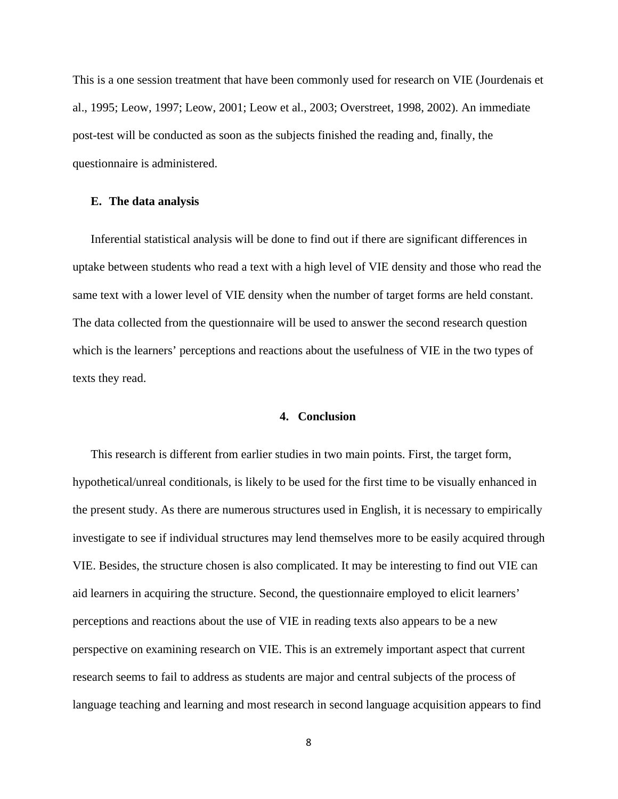This is a one session treatment that have been commonly used for research on VIE (Jourdenais et al., 1995; Leow, 1997; Leow, 2001; Leow et al., 2003; Overstreet, 1998, 2002). An immediate post-test will be conducted as soon as the subjects finished the reading and, finally, the questionnaire is administered.

## **E. The data analysis**

Inferential statistical analysis will be done to find out if there are significant differences in uptake between students who read a text with a high level of VIE density and those who read the same text with a lower level of VIE density when the number of target forms are held constant. The data collected from the questionnaire will be used to answer the second research question which is the learners' perceptions and reactions about the usefulness of VIE in the two types of texts they read.

# **4. Conclusion**

This research is different from earlier studies in two main points. First, the target form, hypothetical/unreal conditionals, is likely to be used for the first time to be visually enhanced in the present study. As there are numerous structures used in English, it is necessary to empirically investigate to see if individual structures may lend themselves more to be easily acquired through VIE. Besides, the structure chosen is also complicated. It may be interesting to find out VIE can aid learners in acquiring the structure. Second, the questionnaire employed to elicit learners' perceptions and reactions about the use of VIE in reading texts also appears to be a new perspective on examining research on VIE. This is an extremely important aspect that current research seems to fail to address as students are major and central subjects of the process of language teaching and learning and most research in second language acquisition appears to find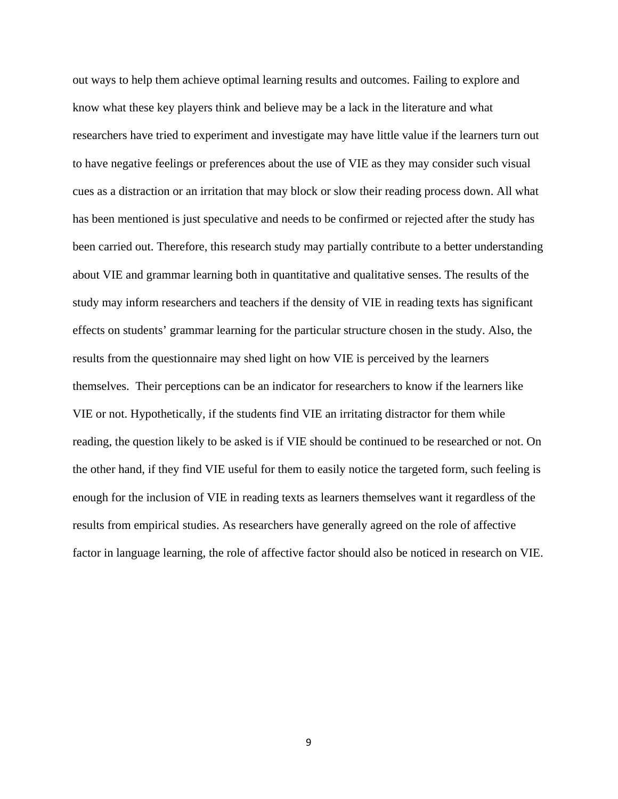out ways to help them achieve optimal learning results and outcomes. Failing to explore and know what these key players think and believe may be a lack in the literature and what researchers have tried to experiment and investigate may have little value if the learners turn out to have negative feelings or preferences about the use of VIE as they may consider such visual cues as a distraction or an irritation that may block or slow their reading process down. All what has been mentioned is just speculative and needs to be confirmed or rejected after the study has been carried out. Therefore, this research study may partially contribute to a better understanding about VIE and grammar learning both in quantitative and qualitative senses. The results of the study may inform researchers and teachers if the density of VIE in reading texts has significant effects on students' grammar learning for the particular structure chosen in the study. Also, the results from the questionnaire may shed light on how VIE is perceived by the learners themselves. Their perceptions can be an indicator for researchers to know if the learners like VIE or not. Hypothetically, if the students find VIE an irritating distractor for them while reading, the question likely to be asked is if VIE should be continued to be researched or not. On the other hand, if they find VIE useful for them to easily notice the targeted form, such feeling is enough for the inclusion of VIE in reading texts as learners themselves want it regardless of the results from empirical studies. As researchers have generally agreed on the role of affective factor in language learning, the role of affective factor should also be noticed in research on VIE.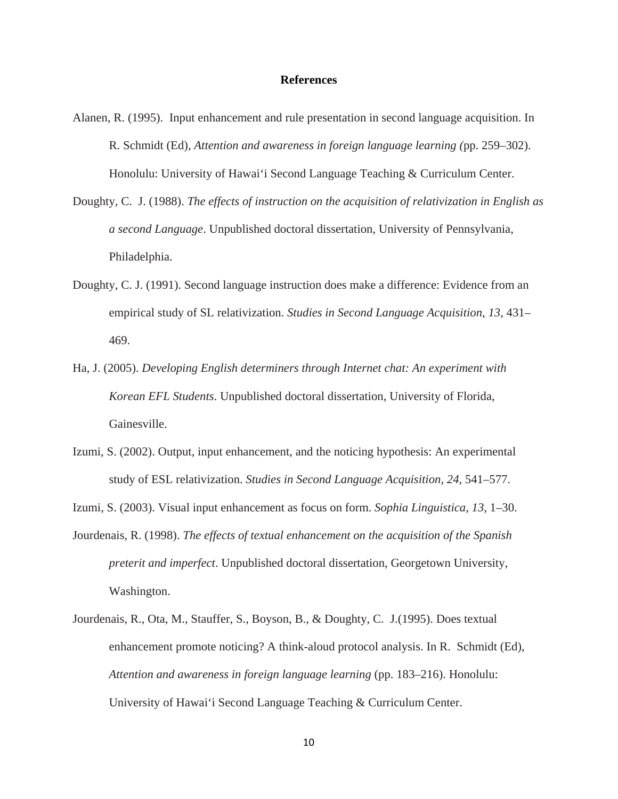#### **References**

- Alanen, R. (1995). Input enhancement and rule presentation in second language acquisition. In R. Schmidt (Ed), *Attention and awareness in foreign language learning (*pp. 259–302). Honolulu: University of Hawai'i Second Language Teaching & Curriculum Center.
- Doughty, C. J. (1988). *The effects of instruction on the acquisition of relativization in English as a second Language*. Unpublished doctoral dissertation, University of Pennsylvania, Philadelphia.
- Doughty, C. J. (1991). Second language instruction does make a difference: Evidence from an empirical study of SL relativization. *Studies in Second Language Acquisition*, *13*, 431– 469.
- Ha, J. (2005). *Developing English determiners through Internet chat: An experiment with Korean EFL Students*. Unpublished doctoral dissertation, University of Florida, Gainesville.
- Izumi, S. (2002). Output, input enhancement, and the noticing hypothesis: An experimental study of ESL relativization. *Studies in Second Language Acquisition*, *24*, 541–577.
- Izumi, S. (2003). Visual input enhancement as focus on form. *Sophia Linguistica*, *13*, 1–30.
- Jourdenais, R. (1998). *The effects of textual enhancement on the acquisition of the Spanish preterit and imperfect*. Unpublished doctoral dissertation, Georgetown University, Washington.
- Jourdenais, R., Ota, M., Stauffer, S., Boyson, B., & Doughty, C. J.(1995). Does textual enhancement promote noticing? A think-aloud protocol analysis. In R. Schmidt (Ed), *Attention and awareness in foreign language learning* (pp. 183–216). Honolulu: University of Hawai'i Second Language Teaching & Curriculum Center.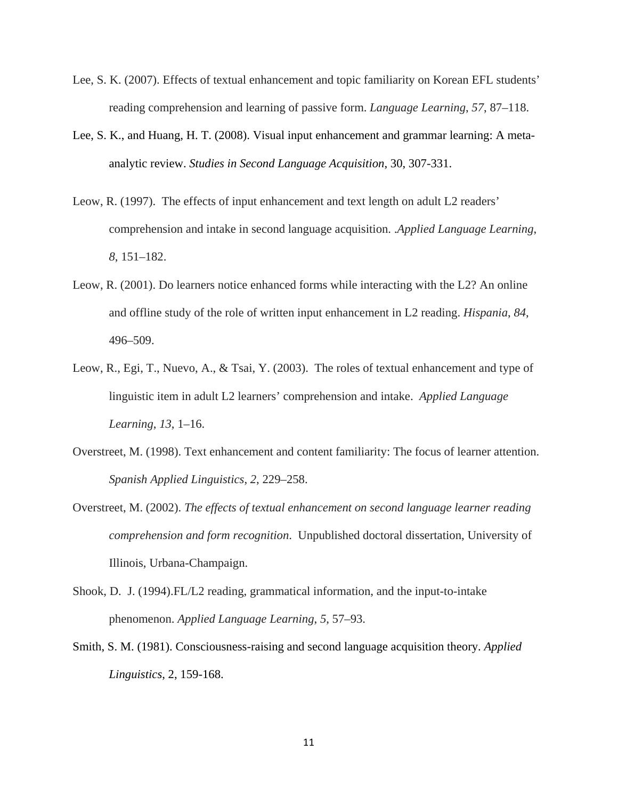- Lee, S. K. (2007). Effects of textual enhancement and topic familiarity on Korean EFL students' reading comprehension and learning of passive form. *Language Learning*, *57*, 87–118.
- Lee, S. K., and Huang, H. T. (2008). Visual input enhancement and grammar learning: A metaanalytic review. *Studies in Second Language Acquisition*, 30, 307-331.
- Leow, R. (1997). The effects of input enhancement and text length on adult L2 readers' comprehension and intake in second language acquisition. .*Applied Language Learning*, *8*, 151–182.
- Leow, R. (2001). Do learners notice enhanced forms while interacting with the L2? An online and offline study of the role of written input enhancement in L2 reading. *Hispania*, *84*, 496–509.
- Leow, R., Egi, T., Nuevo, A., & Tsai, Y. (2003). The roles of textual enhancement and type of linguistic item in adult L2 learners' comprehension and intake. *Applied Language Learning*, *13*, 1–16.
- Overstreet, M. (1998). Text enhancement and content familiarity: The focus of learner attention. *Spanish Applied Linguistics*, *2*, 229–258.
- Overstreet, M. (2002). *The effects of textual enhancement on second language learner reading comprehension and form recognition*. Unpublished doctoral dissertation, University of Illinois, Urbana-Champaign.
- Shook, D. J. (1994).FL/L2 reading, grammatical information, and the input-to-intake phenomenon. *Applied Language Learning*, *5*, 57–93.
- Smith, S. M. (1981). Consciousness-raising and second language acquisition theory. *Applied Linguistics*, 2, 159-168.